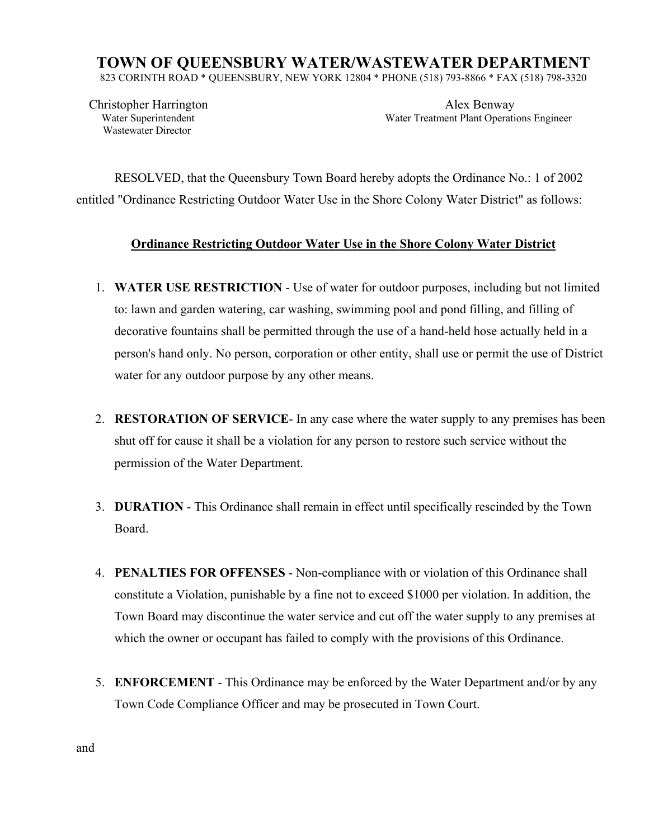## **TOWN OF QUEENSBURY WATER/WASTEWATER DEPARTMENT**

823 CORINTH ROAD \* QUEENSBURY, NEW YORK 12804 \* PHONE (518) 793-8866 \* FAX (518) 798-3320

Wastewater Director

 Christopher Harrington Alex Benway Water Superintendent Water Treatment Plant Operations Engineer

RESOLVED, that the Queensbury Town Board hereby adopts the Ordinance No.: 1 of 2002 entitled "Ordinance Restricting Outdoor Water Use in the Shore Colony Water District" as follows:

## **Ordinance Restricting Outdoor Water Use in the Shore Colony Water District**

- 1. **WATER USE RESTRICTION** Use of water for outdoor purposes, including but not limited to: lawn and garden watering, car washing, swimming pool and pond filling, and filling of decorative fountains shall be permitted through the use of a hand-held hose actually held in a person's hand only. No person, corporation or other entity, shall use or permit the use of District water for any outdoor purpose by any other means.
- 2. **RESTORATION OF SERVICE** In any case where the water supply to any premises has been shut off for cause it shall be a violation for any person to restore such service without the permission of the Water Department.
- 3. **DURATION** This Ordinance shall remain in effect until specifically rescinded by the Town Board.
- 4. **PENALTIES FOR OFFENSES** Non-compliance with or violation of this Ordinance shall constitute a Violation, punishable by a fine not to exceed \$1000 per violation. In addition, the Town Board may discontinue the water service and cut off the water supply to any premises at which the owner or occupant has failed to comply with the provisions of this Ordinance.
- 5. **ENFORCEMENT** This Ordinance may be enforced by the Water Department and/or by any Town Code Compliance Officer and may be prosecuted in Town Court.